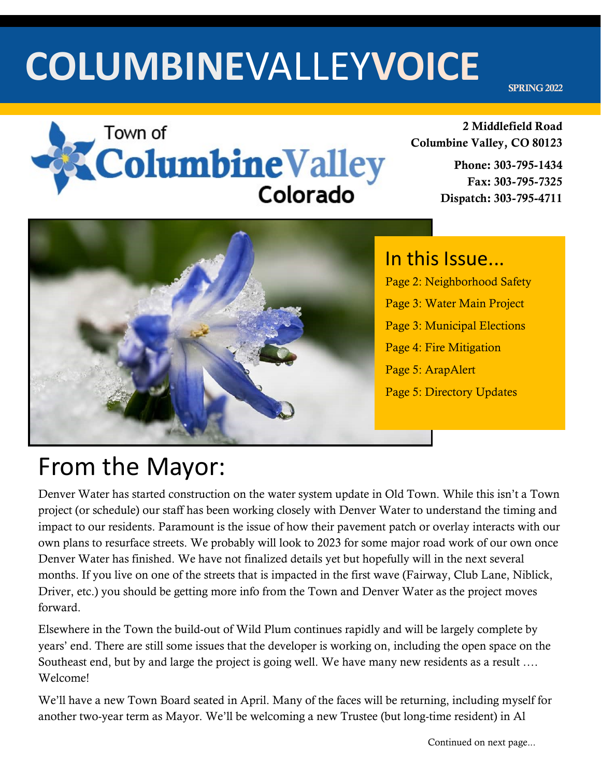# **COLUMBINE**VALLEY**VOICE**

SPRING 2022



2 Middlefield Road Columbine Valley, CO 80123

> Phone: 303-795-1434 Fax: 303-795-7325 Dispatch: 303-795-4711



In this Issue... Page 2: Neighborhood Safety Page 3: Water Main Project Page 3: Municipal Elections Page 4: Fire Mitigation Page 5: ArapAlert Page 5: Directory Updates

### From the Mayor:

Denver Water has started construction on the water system update in Old Town. While this isn't a Town project (or schedule) our staff has been working closely with Denver Water to understand the timing and impact to our residents. Paramount is the issue of how their pavement patch or overlay interacts with our own plans to resurface streets. We probably will look to 2023 for some major road work of our own once Denver Water has finished. We have not finalized details yet but hopefully will in the next several months. If you live on one of the streets that is impacted in the first wave (Fairway, Club Lane, Niblick, Driver, etc.) you should be getting more info from the Town and Denver Water as the project moves forward.

Elsewhere in the Town the build-out of Wild Plum continues rapidly and will be largely complete by years' end. There are still some issues that the developer is working on, including the open space on the Southeast end, but by and large the project is going well. We have many new residents as a result …. Welcome!

We'll have a new Town Board seated in April. Many of the faces will be returning, including myself for another two-year term as Mayor. We'll be welcoming a new Trustee (but long-time resident) in Al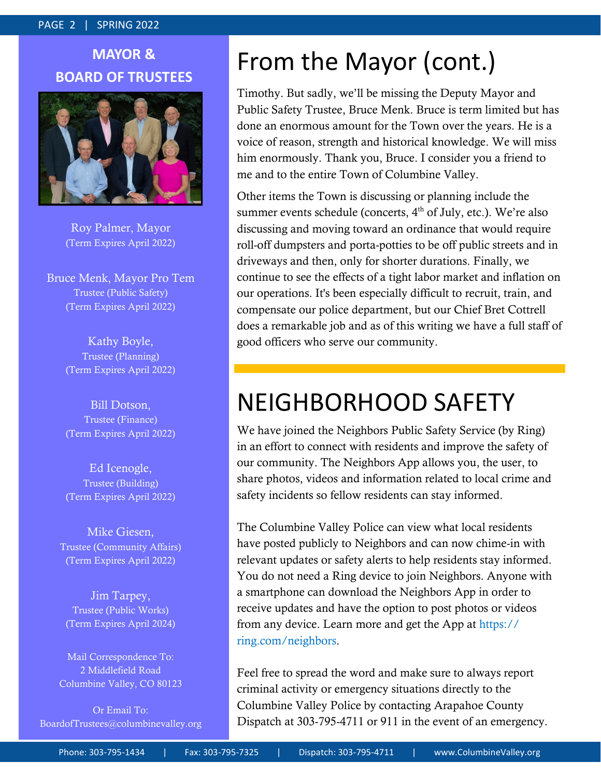#### PAGE 2 | SPRING 2022

### **MAYOR & BOARD OF TRUSTEES**



Roy Palmer, Mayor (Term Expires April 2022)

Bruce Menk, Mayor Pro Tem Trustee (Public Safety) (Term Expires April 2022)

> Kathy Boyle, Trustee (Planning) (Term Expires April 2022)

> Bill Dotson, Trustee (Finance) (Term Expires April 2022)

> Ed Icenogle, Trustee (Building) (Term Expires April 2022)

Mike Giesen, Trustee (Community Affairs) (Term Expires April 2022)

Jim Tarpey, Trustee (Public Works) (Term Expires April 2024)

Mail Correspondence To: 2 Middlefield Road Columbine Valley, CO 80123

Or Email To: BoardofTrustees@columbinevalley.org

### From the Mayor (cont.)

Timothy. But sadly, we'll be missing the Deputy Mayor and Public Safety Trustee, Bruce Menk. Bruce is term limited but has done an enormous amount for the Town over the years. He is a voice of reason, strength and historical knowledge. We will miss him enormously. Thank you, Bruce. I consider you a friend to me and to the entire Town of Columbine Valley.

Other items the Town is discussing or planning include the summer events schedule (concerts,  $4<sup>th</sup>$  of July, etc.). We're also discussing and moving toward an ordinance that would require roll-off dumpsters and porta-potties to be off public streets and in driveways and then, only for shorter durations. Finally, we continue to see the effects of a tight labor market and inflation on our operations. It's been especially difficult to recruit, train, and compensate our police department, but our Chief Bret Cottrell does a remarkable job and as of this writing we have a full staff of good officers who serve our community.

### NEIGHBORHOOD SAFETY

We have joined the Neighbors Public Safety Service (by Ring) in an effort to connect with residents and improve the safety of our community. The Neighbors App allows you, the user, to share photos, videos and information related to local crime and safety incidents so fellow residents can stay informed.

The Columbine Valley Police can view what local residents have posted publicly to Neighbors and can now chime-in with relevant updates or safety alerts to help residents stay informed. You do not need a Ring device to join Neighbors. Anyone with a smartphone can download the Neighbors App in order to receive updates and have the option to post photos or videos from any device. Learn more and get the App at https:// ring.com/neighbors.

Feel free to spread the word and make sure to always report criminal activity or emergency situations directly to the Columbine Valley Police by contacting Arapahoe County Dispatch at 303-795-4711 or 911 in the event of an emergency.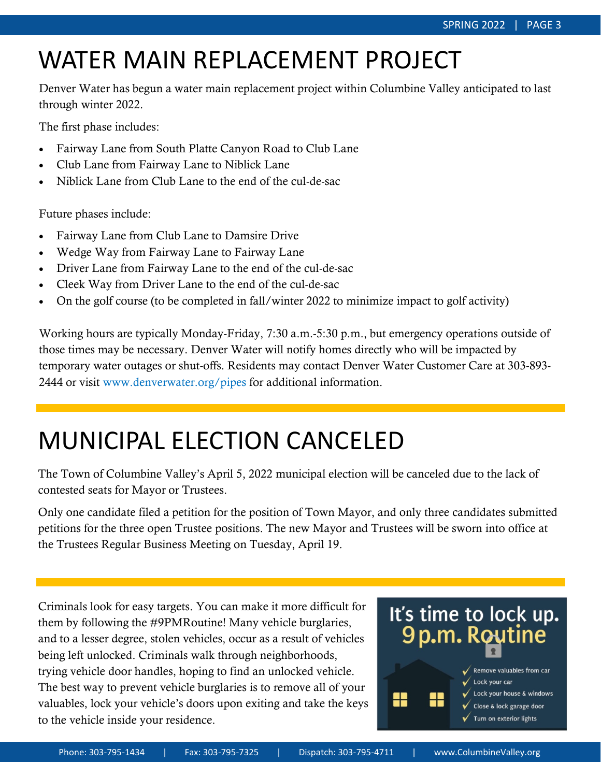## WATER MAIN REPLACEMENT PROJECT

Denver Water has begun a water main replacement project within Columbine Valley anticipated to last through winter 2022.

The first phase includes:

- Fairway Lane from South Platte Canyon Road to Club Lane
- Club Lane from Fairway Lane to Niblick Lane
- Niblick Lane from Club Lane to the end of the cul-de-sac

Future phases include:

- Fairway Lane from Club Lane to Damsire Drive
- Wedge Way from Fairway Lane to Fairway Lane
- Driver Lane from Fairway Lane to the end of the cul-de-sac
- Cleek Way from Driver Lane to the end of the cul-de-sac
- On the golf course (to be completed in fall/winter 2022 to minimize impact to golf activity)

Working hours are typically Monday-Friday, 7:30 a.m.-5:30 p.m., but emergency operations outside of those times may be necessary. Denver Water will notify homes directly who will be impacted by temporary water outages or shut-offs. Residents may contact Denver Water Customer Care at 303-893- 2444 or visit www.denverwater.org/pipes for additional information.

### MUNICIPAL ELECTION CANCELED

The Town of Columbine Valley's April 5, 2022 municipal election will be canceled due to the lack of contested seats for Mayor or Trustees.

Only one candidate filed a petition for the position of Town Mayor, and only three candidates submitted petitions for the three open Trustee positions. The new Mayor and Trustees will be sworn into office at the Trustees Regular Business Meeting on Tuesday, April 19.

Criminals look for easy targets. You can make it more difficult for them by following the #9PMRoutine! Many vehicle burglaries, and to a lesser degree, stolen vehicles, occur as a result of vehicles being left unlocked. Criminals walk through neighborhoods, trying vehicle door handles, hoping to find an unlocked vehicle. The best way to prevent vehicle burglaries is to remove all of your valuables, lock your vehicle's doors upon exiting and take the keys to the vehicle inside your residence.

## It's time to lock up. 9 p.m. Routine

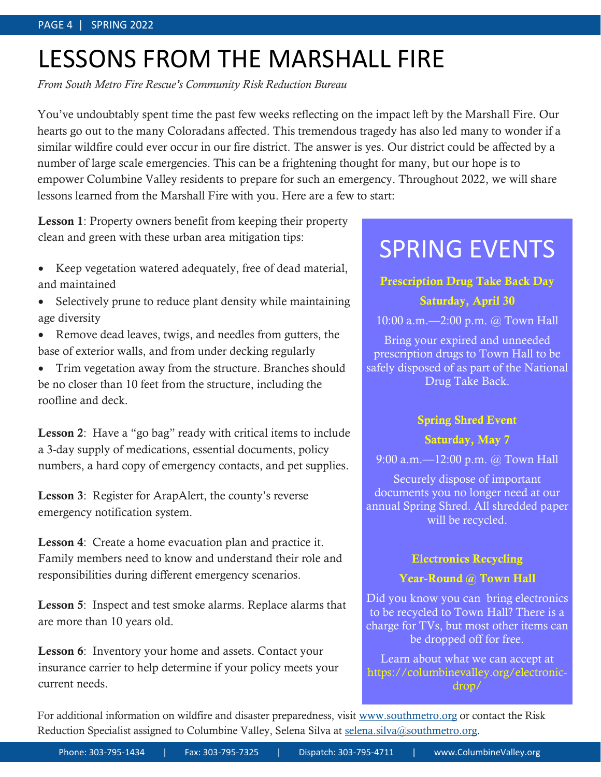## LESSONS FROM THE MARSHALL FIRE

*From South Metro Fire Rescue's Community Risk Reduction Bureau*

You've undoubtably spent time the past few weeks reflecting on the impact left by the Marshall Fire. Our hearts go out to the many Coloradans affected. This tremendous tragedy has also led many to wonder if a similar wildfire could ever occur in our fire district. The answer is yes. Our district could be affected by a number of large scale emergencies. This can be a frightening thought for many, but our hope is to empower Columbine Valley residents to prepare for such an emergency. Throughout 2022, we will share lessons learned from the Marshall Fire with you. Here are a few to start:

Lesson 1: Property owners benefit from keeping their property clean and green with these urban area mitigation tips:

- Keep vegetation watered adequately, free of dead material, and maintained
- Selectively prune to reduce plant density while maintaining age diversity
- Remove dead leaves, twigs, and needles from gutters, the base of exterior walls, and from under decking regularly
- Trim vegetation away from the structure. Branches should be no closer than 10 feet from the structure, including the roofline and deck.

Lesson 2: Have a "go bag" ready with critical items to include a 3-day supply of medications, essential documents, policy numbers, a hard copy of emergency contacts, and pet supplies.

Lesson 3: Register for ArapAlert, the county's reverse emergency notification system.

Lesson 4: Create a home evacuation plan and practice it. Family members need to know and understand their role and responsibilities during different emergency scenarios.

Lesson 5: Inspect and test smoke alarms. Replace alarms that are more than 10 years old.

**Lesson 6:** Inventory your home and assets. Contact your insurance carrier to help determine if your policy meets your current needs.

### SPRING EVENTS

#### Prescription Drug Take Back Day

#### Saturday, April 30

10:00 a.m.—2:00 p.m. @ Town Hall

Bring your expired and unneeded prescription drugs to Town Hall to be safely disposed of as part of the National Drug Take Back.

#### Spring Shred Event

#### Saturday, May 7

9:00 a.m.—12:00 p.m. @ Town Hall

Securely dispose of important documents you no longer need at our annual Spring Shred. All shredded paper will be recycled.

#### Electronics Recycling

#### Year-Round @ Town Hall

Did you know you can bring electronics to be recycled to Town Hall? There is a charge for TVs, but most other items can be dropped off for free.

Learn about what we can accept at https://columbinevalley.org/electronicdrop/

For additional information on wildfire and disaster preparedness, visit [www.southmetro.org](http://www.southmetro.org/) or contact the Risk Reduction Specialist assigned to Columbine Valley, Selena Silva at [selena.silva@southmetro.org.](mailto:selena.silva@southmetro.org)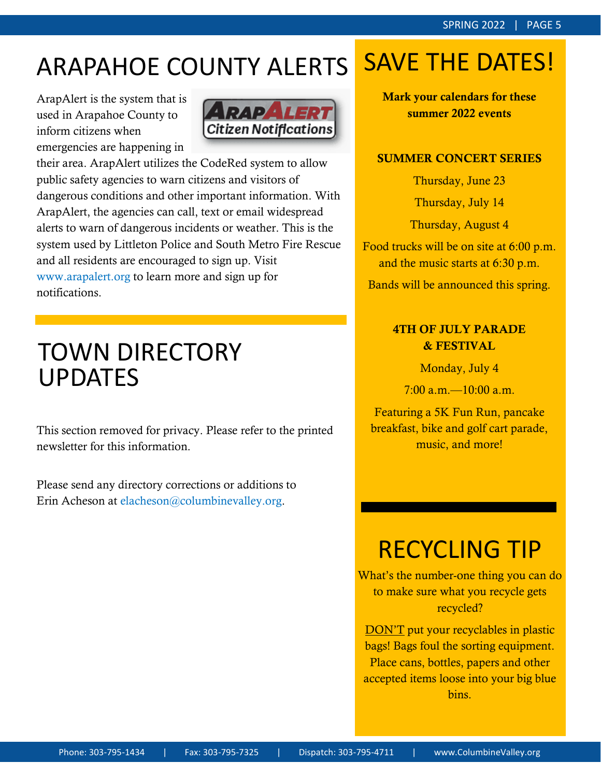## ARAPAHOE COUNTY ALERTS

ArapAlert is the system that is used in Arapahoe County to inform citizens when emergencies are happening in



their area. ArapAlert utilizes the CodeRed system to allow public safety agencies to warn citizens and visitors of dangerous conditions and other important information. With ArapAlert, the agencies can call, text or email widespread alerts to warn of dangerous incidents or weather. This is the system used by Littleton Police and South Metro Fire Rescue and all residents are encouraged to sign up. Visit www.arapalert.org to learn more and sign up for notifications.

### TOWN DIRECTORY UPDATES

This section removed for privacy. Please refer to the printed newsletter for this information.

Please send any directory corrections or additions to Erin Acheson at elacheson@columbinevalley.org.

## SAVE THE DATES!

Mark your calendars for these summer 2022 events

#### SUMMER CONCERT SERIES

Thursday, June 23

Thursday, July 14

Thursday, August 4

Food trucks will be on site at 6:00 p.m. and the music starts at 6:30 p.m.

Bands will be announced this spring.

#### 4TH OF JULY PARADE & FESTIVAL

Monday, July 4

 $7:00$  a.m.  $-10:00$  a.m.

Featuring a 5K Fun Run, pancake breakfast, bike and golf cart parade, music, and more!

### RECYCLING TIP

What's the number-one thing you can do to make sure what you recycle gets recycled?

DON'T put your recyclables in plastic bags! Bags foul the sorting equipment. Place cans, bottles, papers and other accepted items loose into your big blue bins.